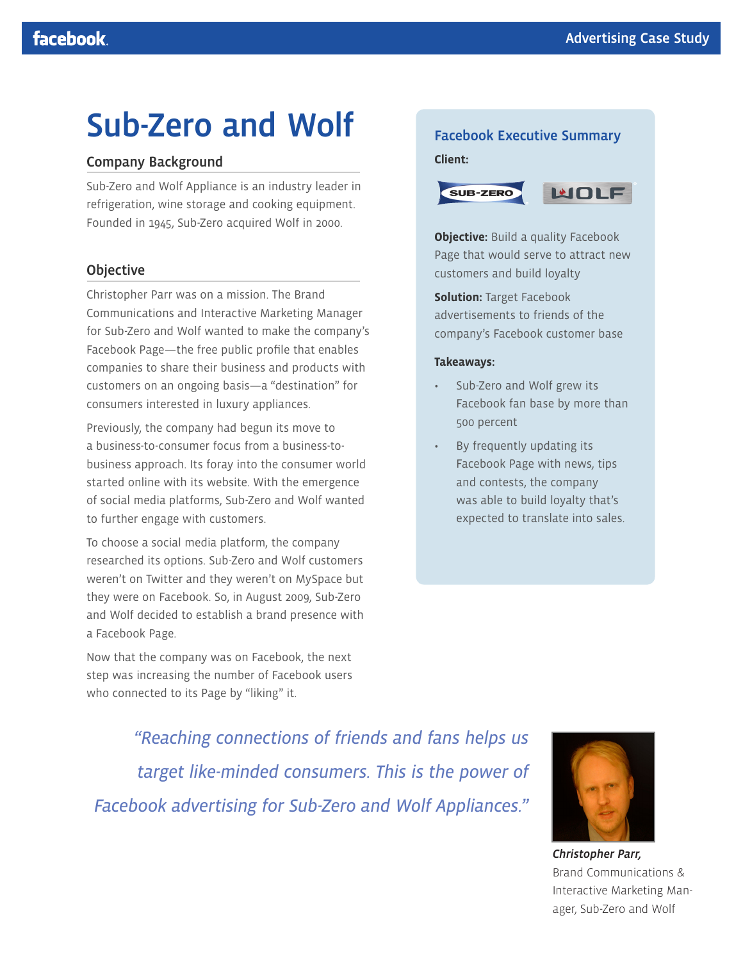# Sub-Zero and Wolf

# Company Background

Sub-Zero and Wolf Appliance is an industry leader in refrigeration, wine storage and cooking equipment. Founded in 1945, Sub-Zero acquired Wolf in 2000.

# Objective

Christopher Parr was on a mission. The Brand Communications and Interactive Marketing Manager for Sub-Zero and Wolf wanted to make the company's Facebook Page—the free public profile that enables companies to share their business and products with customers on an ongoing basis—a "destination" for consumers interested in luxury appliances.

Previously, the company had begun its move to a business-to-consumer focus from a business-tobusiness approach. Its foray into the consumer world started online with its website. With the emergence of social media platforms, Sub-Zero and Wolf wanted to further engage with customers.

To choose a social media platform, the company researched its options. Sub-Zero and Wolf customers weren't on Twitter and they weren't on MySpace but they were on Facebook. So, in August 2009, Sub-Zero and Wolf decided to establish a brand presence with a Facebook Page.

Now that the company was on Facebook, the next step was increasing the number of Facebook users who connected to its Page by "liking" it.

# Facebook Executive Summary

#### **Client:**



**Objective:** Build a quality Facebook Page that would serve to attract new customers and build loyalty

**Solution:** Target Facebook advertisements to friends of the company's Facebook customer base

#### **Takeaways:**

- Sub-Zero and Wolf grew its Facebook fan base by more than 500 percent
- By frequently updating its Facebook Page with news, tips and contests, the company was able to build loyalty that's expected to translate into sales.

*"Reaching connections of friends and fans helps us target like-minded consumers. This is the power of Facebook advertising for Sub-Zero and Wolf Appliances."*



*Christopher Parr,*  Brand Communications & Interactive Marketing Manager, Sub-Zero and Wolf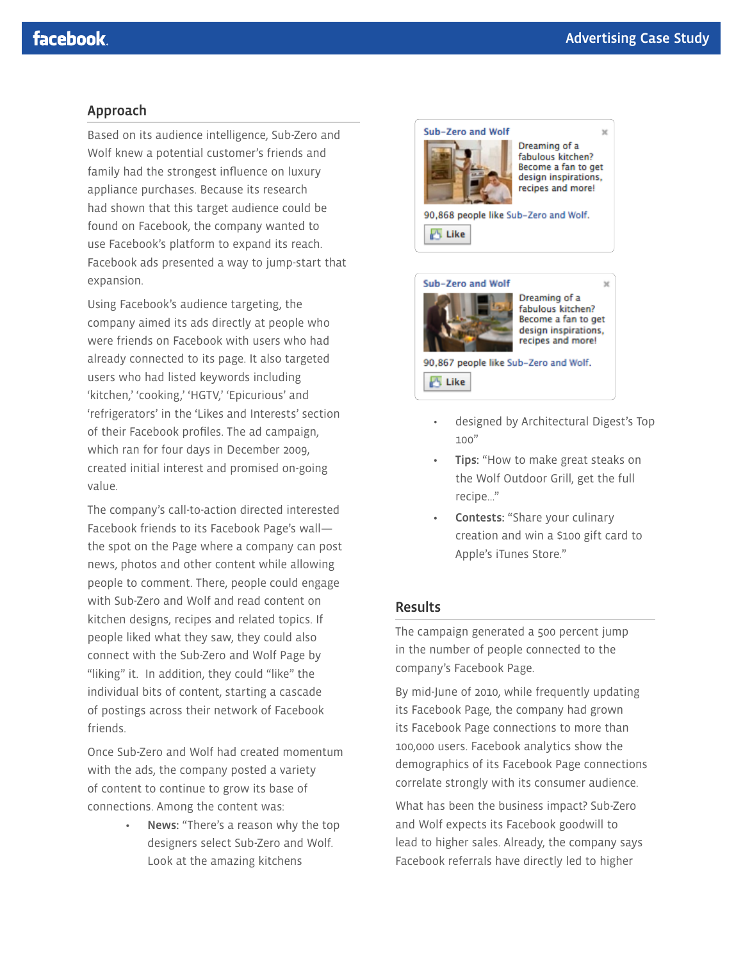$\mathbf{v}$ 

### Approach

Based on its audience intelligence, Sub-Zero and Wolf knew a potential customer's friends and family had the strongest influence on luxury appliance purchases. Because its research had shown that this target audience could be found on Facebook, the company wanted to use Facebook's platform to expand its reach. Facebook ads presented a way to jump-start that expansion.

Using Facebook's audience targeting, the company aimed its ads directly at people who were friends on Facebook with users who had already connected to its page. It also targeted users who had listed keywords including 'kitchen,' 'cooking,' 'HGTV,' 'Epicurious' and 'refrigerators' in the 'Likes and Interests' section of their Facebook profiles. The ad campaign, which ran for four days in December 2009, created initial interest and promised on-going value.

The company's call-to-action directed interested Facebook friends to its Facebook Page's wall the spot on the Page where a company can post news, photos and other content while allowing people to comment. There, people could engage with Sub-Zero and Wolf and read content on kitchen designs, recipes and related topics. If people liked what they saw, they could also connect with the Sub-Zero and Wolf Page by "liking" it. In addition, they could "like" the individual bits of content, starting a cascade of postings across their network of Facebook friends.

Once Sub-Zero and Wolf had created momentum with the ads, the company posted a variety of content to continue to grow its base of connections. Among the content was:

> News: "There's a reason why the top designers select Sub-Zero and Wolf. Look at the amazing kitchens



Dreaming of a fabulous kitchen? Become a fan to get design inspirations, recipes and more!

90,868 people like Sub-Zero and Wolf. **A** Like



× Dreaming of a fabulous kitchen? Become a fan to get design inspirations, recipes and more!

90,867 people like Sub-Zero and Wolf. **S** Like

- designed by Architectural Digest's Top 100"
- Tips: "How to make great steaks on the Wolf Outdoor Grill, get the full recipe…"
- Contests: "Share your culinary creation and win a \$100 gift card to Apple's iTunes Store."

# Results

The campaign generated a 500 percent jump in the number of people connected to the company's Facebook Page.

By mid-June of 2010, while frequently updating its Facebook Page, the company had grown its Facebook Page connections to more than 100,000 users. Facebook analytics show the demographics of its Facebook Page connections correlate strongly with its consumer audience.

What has been the business impact? Sub-Zero and Wolf expects its Facebook goodwill to lead to higher sales. Already, the company says Facebook referrals have directly led to higher